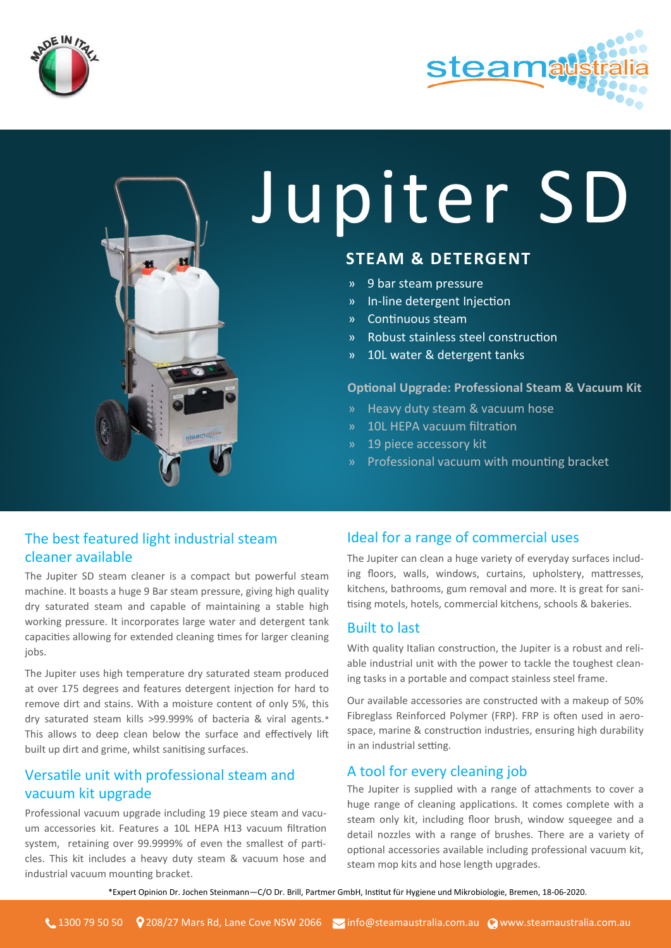



# Jupiter SD

# **STEAM & DETERGENT**

- » 9 bar steam pressure
- » In-line detergent Injection
- » Continuous steam
- » Robust stainless steel construction
- » 10L water & detergent tanks

#### **Optional Upgrade: Professional Steam & Vacuum Kit**

- » Heavy duty steam & vacuum hose
- » 10L HEPA vacuum filtration
- » 19 piece accessory kit
- » Professional vacuum with mounting bracket

## The best featured light industrial steam cleaner available

The Jupiter SD steam cleaner is a compact but powerful steam machine. It boasts a huge 9 Bar steam pressure, giving high quality dry saturated steam and capable of maintaining a stable high working pressure. It incorporates large water and detergent tank capacities allowing for extended cleaning times for larger cleaning jobs.

The Jupiter uses high temperature dry saturated steam produced at over 175 degrees and features detergent injection for hard to remove dirt and stains. With a moisture content of only 5%, this dry saturated steam kills >99.999% of bacteria & viral agents.\* This allows to deep clean below the surface and effectively lift built up dirt and grime, whilst sanitising surfaces.

## Versatile unit with professional steam and vacuum kit upgrade

Professional vacuum upgrade including 19 piece steam and vacuum accessories kit. Features a 10L HEPA H13 vacuum filtration system, retaining over 99.9999% of even the smallest of particles. This kit includes a heavy duty steam & vacuum hose and industrial vacuum mounting bracket.

## Ideal for a range of commercial uses

The Jupiter can clean a huge variety of everyday surfaces including floors, walls, windows, curtains, upholstery, mattresses, kitchens, bathrooms, gum removal and more. It is great for sanitising motels, hotels, commercial kitchens, schools & bakeries.

### Built to last

With quality Italian construction, the Jupiter is a robust and reliable industrial unit with the power to tackle the toughest cleaning tasks in a portable and compact stainless steel frame.

Our available accessories are constructed with a makeup of 50% Fibreglass Reinforced Polymer (FRP). FRP is often used in aerospace, marine & construction industries, ensuring high durability in an industrial setting.

### A tool for every cleaning job

The Jupiter is supplied with a range of attachments to cover a huge range of cleaning applications. It comes complete with a steam only kit, including floor brush, window squeegee and a detail nozzles with a range of brushes. There are a variety of optional accessories available including professional vacuum kit, steam mop kits and hose length upgrades.

\*\*Expert Opinion Dr. Jochen Steinmann—C/O Dr. Brill, Partmer GmbH, Institut für Hygiene und Mikrobiologie, Bremen, 18-06-2020.